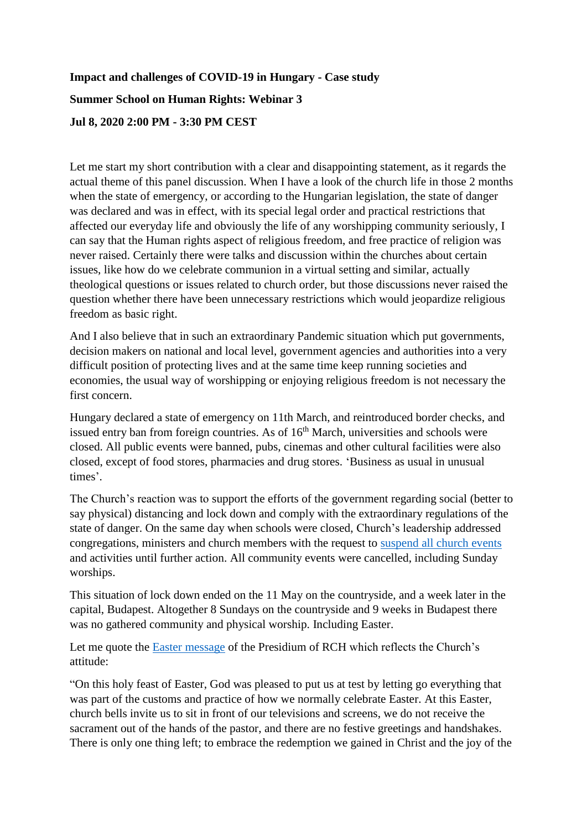## **Impact and challenges of COVID-19 in Hungary - Case study Summer School on Human Rights: Webinar 3 Jul 8, 2020 2:00 PM - 3:30 PM CEST**

Let me start my short contribution with a clear and disappointing statement, as it regards the actual theme of this panel discussion. When I have a look of the church life in those 2 months when the state of emergency, or according to the Hungarian legislation, the state of danger was declared and was in effect, with its special legal order and practical restrictions that affected our everyday life and obviously the life of any worshipping community seriously, I can say that the Human rights aspect of religious freedom, and free practice of religion was never raised. Certainly there were talks and discussion within the churches about certain issues, like how do we celebrate communion in a virtual setting and similar, actually theological questions or issues related to church order, but those discussions never raised the question whether there have been unnecessary restrictions which would jeopardize religious freedom as basic right.

And I also believe that in such an extraordinary Pandemic situation which put governments, decision makers on national and local level, government agencies and authorities into a very difficult position of protecting lives and at the same time keep running societies and economies, the usual way of worshipping or enjoying religious freedom is not necessary the first concern.

Hungary declared a state of emergency on 11th March, and reintroduced border checks, and issued entry ban from foreign countries. As of  $16<sup>th</sup>$  March, universities and schools were closed. All public events were banned, pubs, cinemas and other cultural facilities were also closed, except of food stores, pharmacies and drug stores. 'Business as usual in unusual times'.

The Church's reaction was to support the efforts of the government regarding social (better to say physical) distancing and lock down and comply with the extraordinary regulations of the state of danger. On the same day when schools were closed, Church's leadership addressed congregations, ministers and church members with the request to [suspend all church events](https://reformatus.hu/english/news/all-church-events-suspended/) and activities until further action. All community events were cancelled, including Sunday worships.

This situation of lock down ended on the 11 May on the countryside, and a week later in the capital, Budapest. Altogether 8 Sundays on the countryside and 9 weeks in Budapest there was no gathered community and physical worship. Including Easter.

Let me quote the [Easter message](https://reformatus.hu/english/news/fullest-possible-joy/) of the Presidium of RCH which reflects the Church's attitude:

"On this holy feast of Easter, God was pleased to put us at test by letting go everything that was part of the customs and practice of how we normally celebrate Easter. At this Easter, church bells invite us to sit in front of our televisions and screens, we do not receive the sacrament out of the hands of the pastor, and there are no festive greetings and handshakes. There is only one thing left; to embrace the redemption we gained in Christ and the joy of the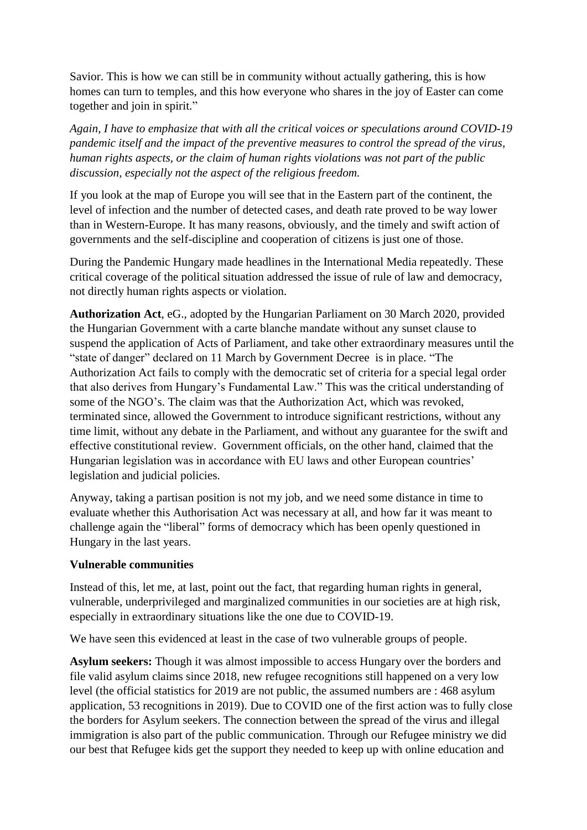Savior. This is how we can still be in community without actually gathering, this is how homes can turn to temples, and this how everyone who shares in the joy of Easter can come together and join in spirit."

*Again, I have to emphasize that with all the critical voices or speculations around COVID-19 pandemic itself and the impact of the preventive measures to control the spread of the virus, human rights aspects, or the claim of human rights violations was not part of the public discussion, especially not the aspect of the religious freedom.*

If you look at the map of Europe you will see that in the Eastern part of the continent, the level of infection and the number of detected cases, and death rate proved to be way lower than in Western-Europe. It has many reasons, obviously, and the timely and swift action of governments and the self-discipline and cooperation of citizens is just one of those.

During the Pandemic Hungary made headlines in the International Media repeatedly. These critical coverage of the political situation addressed the issue of rule of law and democracy, not directly human rights aspects or violation.

**Authorization Act**, eG., adopted by the Hungarian Parliament on 30 March 2020, provided the Hungarian Government with a carte blanche mandate without any sunset clause to suspend the application of Acts of Parliament, and take other extraordinary measures until the "state of danger" declared on 11 March by Government Decree is in place. "The Authorization Act fails to comply with the democratic set of criteria for a special legal order that also derives from Hungary's Fundamental Law." This was the critical understanding of some of the NGO's. The claim was that the Authorization Act, which was revoked, terminated since, allowed the Government to introduce significant restrictions, without any time limit, without any debate in the Parliament, and without any guarantee for the swift and effective constitutional review. Government officials, on the other hand, claimed that the Hungarian legislation was in accordance with EU laws and other European countries' legislation and judicial policies.

Anyway, taking a partisan position is not my job, and we need some distance in time to evaluate whether this Authorisation Act was necessary at all, and how far it was meant to challenge again the "liberal" forms of democracy which has been openly questioned in Hungary in the last years.

## **Vulnerable communities**

Instead of this, let me, at last, point out the fact, that regarding human rights in general, vulnerable, underprivileged and marginalized communities in our societies are at high risk, especially in extraordinary situations like the one due to COVID-19.

We have seen this evidenced at least in the case of two vulnerable groups of people.

**Asylum seekers:** Though it was almost impossible to access Hungary over the borders and file valid asylum claims since 2018, new refugee recognitions still happened on a very low level (the official statistics for 2019 are not public, the assumed numbers are : 468 asylum application, 53 recognitions in 2019). Due to COVID one of the first action was to fully close the borders for Asylum seekers. The connection between the spread of the virus and illegal immigration is also part of the public communication. Through our Refugee ministry we did our best that Refugee kids get the support they needed to keep up with online education and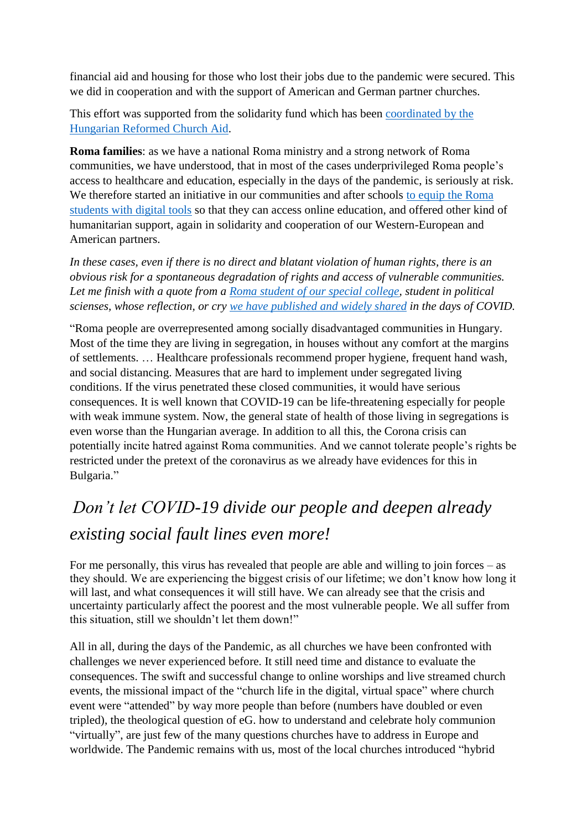financial aid and housing for those who lost their jobs due to the pandemic were secured. This we did in cooperation and with the support of American and German partner churches.

This effort was supported from the solidarity fund which has been [coordinated by the](https://reformatus.hu/english/news/looking-ahead/)  [Hungarian Reformed Church Aid.](https://reformatus.hu/english/news/looking-ahead/)

**Roma families**: as we have a national Roma ministry and a strong network of Roma communities, we have understood, that in most of the cases underprivileged Roma people's access to healthcare and education, especially in the days of the pandemic, is seriously at risk. We therefore started an initiative in our communities and after schools to equip the Roma [students with digital tools](https://reformatus.hu/english/news/digital-support-learning/) so that they can access online education, and offered other kind of humanitarian support, again in solidarity and cooperation of our Western-European and American partners.

*In these cases, even if there is no direct and blatant violation of human rights, there is an obvious risk for a spontaneous degradation of rights and access of vulnerable communities. Let me finish with a quote from a [Roma student of our special college,](https://reformatus.hu/english/news/physically-distant-close-spirit/) student in political scienses, whose reflection, or cry [we have published and widely shared](https://reformatus.hu/english/news/dont-let-them-down/) in the days of COVID.*

"Roma people are overrepresented among socially disadvantaged communities in Hungary. Most of the time they are living in segregation, in houses without any comfort at the margins of settlements. … Healthcare professionals recommend proper hygiene, frequent hand wash, and social distancing. Measures that are hard to implement under segregated living conditions. If the virus penetrated these closed communities, it would have serious consequences. It is well known that COVID-19 can be life-threatening especially for people with weak immune system. Now, the general state of health of those living in segregations is even worse than the Hungarian average. In addition to all this, the Corona crisis can potentially incite hatred against Roma communities. And we cannot tolerate people's rights be restricted under the pretext of the coronavirus as we already have evidences for this in Bulgaria."

## *Don't let COVID-19 divide our people and deepen already existing social fault lines even more!*

For me personally, this virus has revealed that people are able and willing to join forces – as they should. We are experiencing the biggest crisis of our lifetime; we don't know how long it will last, and what consequences it will still have. We can already see that the crisis and uncertainty particularly affect the poorest and the most vulnerable people. We all suffer from this situation, still we shouldn't let them down!"

All in all, during the days of the Pandemic, as all churches we have been confronted with challenges we never experienced before. It still need time and distance to evaluate the consequences. The swift and successful change to online worships and live streamed church events, the missional impact of the "church life in the digital, virtual space" where church event were "attended" by way more people than before (numbers have doubled or even tripled), the theological question of eG. how to understand and celebrate holy communion "virtually", are just few of the many questions churches have to address in Europe and worldwide. The Pandemic remains with us, most of the local churches introduced "hybrid